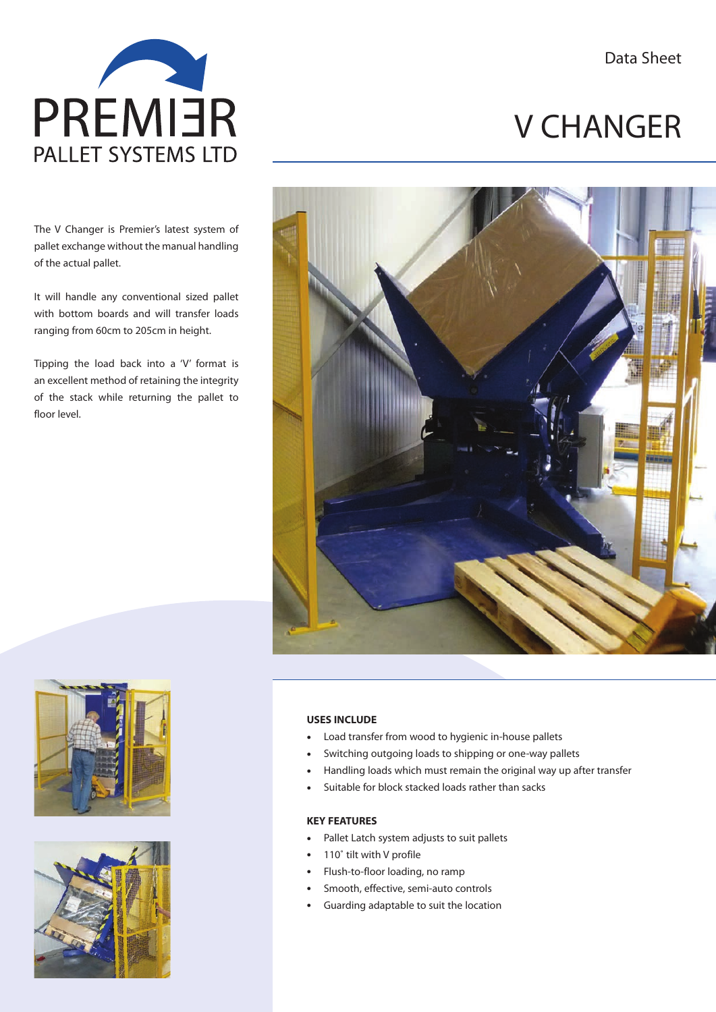Data Sheet



The V Changer is Premier's latest system of pallet exchange without the manual handling of the actual pallet.

It will handle any conventional sized pallet with bottom boards and will transfer loads ranging from 60cm to 205cm in height.

Tipping the load back into a 'V' format is an excellent method of retaining the integrity of the stack while returning the pallet to floor level.



# V CHANGER



### **USES INCLUDE**

- Load transfer from wood to hygienic in-house pallets
- Switching outgoing loads to shipping or one-way pallets
- Handling loads which must remain the original way up after transfer
- Suitable for block stacked loads rather than sacks

#### **KEY FEATURES**

- Pallet Latch system adjusts to suit pallets
- 110° tilt with V profile
- Flush-to-floor loading, no ramp
- Smooth, effective, semi-auto controls
- Guarding adaptable to suit the location